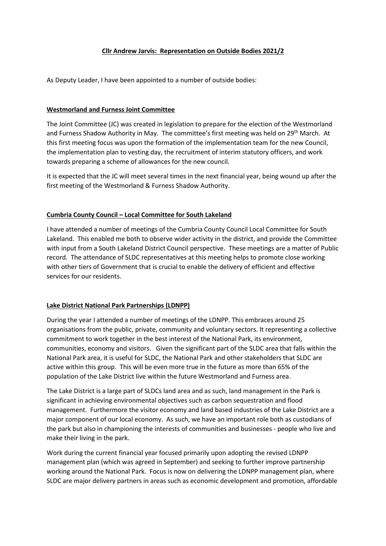# **Cllr Andrew Jarvis: Representation on Outside Bodies 2021/2**

As Deputy Leader, I have been appointed to a number of outside bodies:

### **Westmorland and Furness Joint Committee**

The Joint Committee (JC) was created in legislation to prepare for the election of the Westmorland and Furness Shadow Authority in May. The committee's first meeting was held on 29<sup>th</sup> March. At this first meeting focus was upon the formation of the implementation team for the new Council, the implementation plan to vesting day, the recruitment of interim statutory officers, and work towards preparing a scheme of allowances for the new council.

It is expected that the JC will meet several times in the next financial year, being wound up after the first meeting of the Westmorland & Furness Shadow Authority.

# **Cumbria County Council – Local Committee for South Lakeland**

I have attended a number of meetings of the Cumbria County Council Local Committee for South Lakeland. This enabled me both to observe wider activity in the district, and provide the Committee with input from a South Lakeland District Council perspective. These meetings are a matter of Public record. The attendance of SLDC representatives at this meeting helps to promote close working with other tiers of Government that is crucial to enable the delivery of efficient and effective services for our residents.

### **Lake District National Park Partnerships (LDNPP)**

During the year I attended a number of meetings of the LDNPP. This embraces around 25 organisations from the public, private, community and voluntary sectors. It representing a collective commitment to work together in the best interest of the National Park, its environment, communities, economy and visitors. Given the significant part of the SLDC area that falls within the National Park area, it is useful for SLDC, the National Park and other stakeholders that SLDC are active within this group. This will be even more true in the future as more than 65% of the population of the Lake District live within the future Westmorland and Furness area.

The Lake District is a large part of SLDCs land area and as such, land management in the Park is significant in achieving environmental objectives such as carbon sequestration and flood management. Furthermore the visitor economy and land based industries of the Lake District are a major component of our local economy. As such, we have an important role both as custodians of the park but also in championing the interests of communities and businesses - people who live and make their living in the park.

Work during the current financial year focused primarily upon adopting the revised LDNPP management plan (which was agreed in September) and seeking to further improve partnership working around the National Park. Focus is now on delivering the LDNPP management plan, where SLDC are major delivery partners in areas such as economic development and promotion, affordable